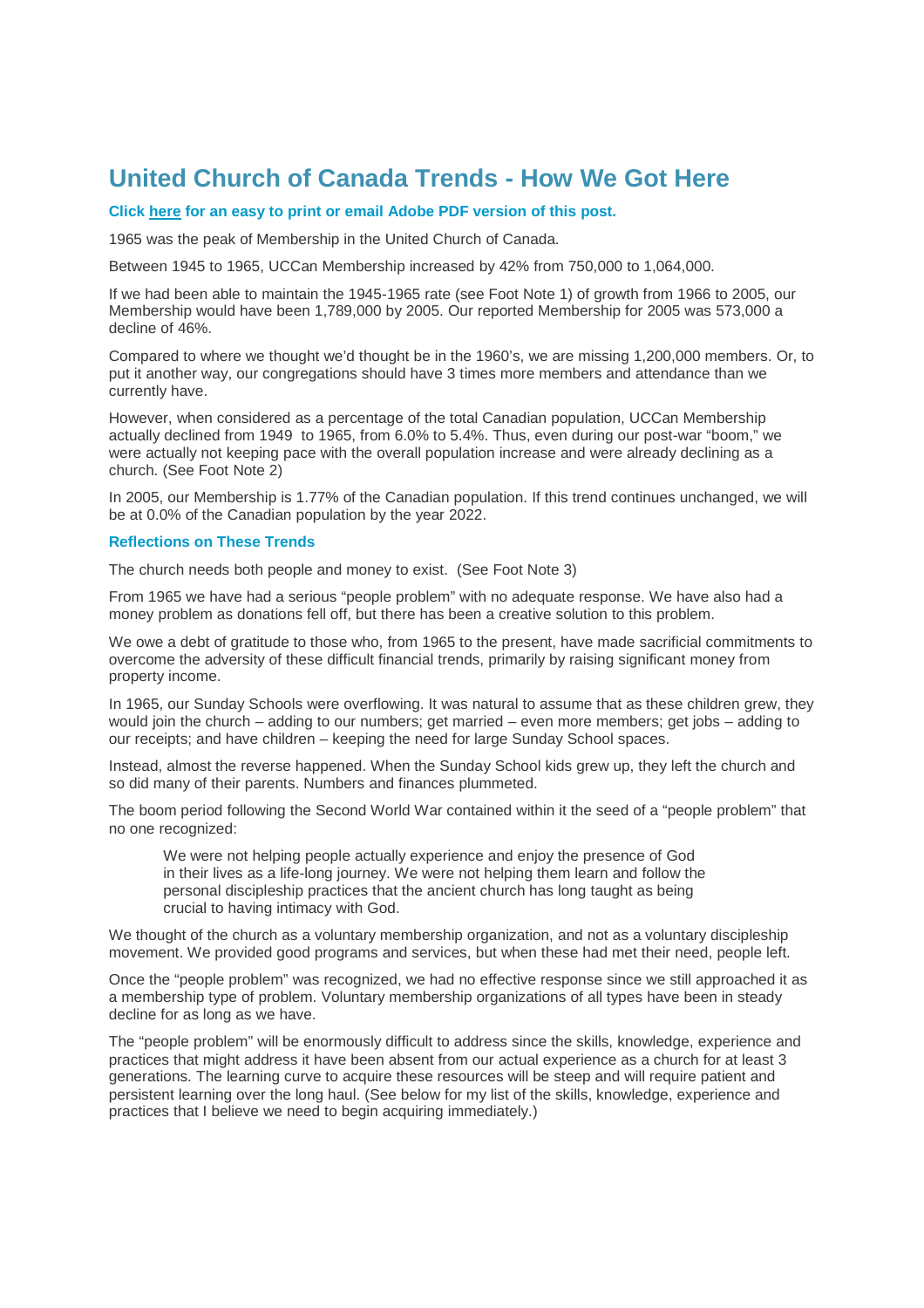## **United Church of Canada Trends - How We Got Here**

## **Click here for an easy to print or email Adobe PDF version of this post.**

1965 was the peak of Membership in the United Church of Canada.

Between 1945 to 1965, UCCan Membership increased by 42% from 750,000 to 1,064,000.

If we had been able to maintain the 1945-1965 rate (see Foot Note 1) of growth from 1966 to 2005, our Membership would have been 1,789,000 by 2005. Our reported Membership for 2005 was 573,000 a decline of 46%.

Compared to where we thought we'd thought be in the 1960's, we are missing 1,200,000 members. Or, to put it another way, our congregations should have 3 times more members and attendance than we currently have.

However, when considered as a percentage of the total Canadian population, UCCan Membership actually declined from 1949 to 1965, from 6.0% to 5.4%. Thus, even during our post-war "boom," we were actually not keeping pace with the overall population increase and were already declining as a church. (See Foot Note 2)

In 2005, our Membership is 1.77% of the Canadian population. If this trend continues unchanged, we will be at 0.0% of the Canadian population by the year 2022.

## **Reflections on These Trends**

The church needs both people and money to exist. (See Foot Note 3)

From 1965 we have had a serious "people problem" with no adequate response. We have also had a money problem as donations fell off, but there has been a creative solution to this problem.

We owe a debt of gratitude to those who, from 1965 to the present, have made sacrificial commitments to overcome the adversity of these difficult financial trends, primarily by raising significant money from property income.

In 1965, our Sunday Schools were overflowing. It was natural to assume that as these children grew, they would join the church – adding to our numbers; get married – even more members; get jobs – adding to our receipts; and have children – keeping the need for large Sunday School spaces.

Instead, almost the reverse happened. When the Sunday School kids grew up, they left the church and so did many of their parents. Numbers and finances plummeted.

The boom period following the Second World War contained within it the seed of a "people problem" that no one recognized:

We were not helping people actually experience and enjoy the presence of God in their lives as a life-long journey. We were not helping them learn and follow the personal discipleship practices that the ancient church has long taught as being crucial to having intimacy with God.

We thought of the church as a voluntary membership organization, and not as a voluntary discipleship movement. We provided good programs and services, but when these had met their need, people left.

Once the "people problem" was recognized, we had no effective response since we still approached it as a membership type of problem. Voluntary membership organizations of all types have been in steady decline for as long as we have.

The "people problem" will be enormously difficult to address since the skills, knowledge, experience and practices that might address it have been absent from our actual experience as a church for at least 3 generations. The learning curve to acquire these resources will be steep and will require patient and persistent learning over the long haul. (See below for my list of the skills, knowledge, experience and practices that I believe we need to begin acquiring immediately.)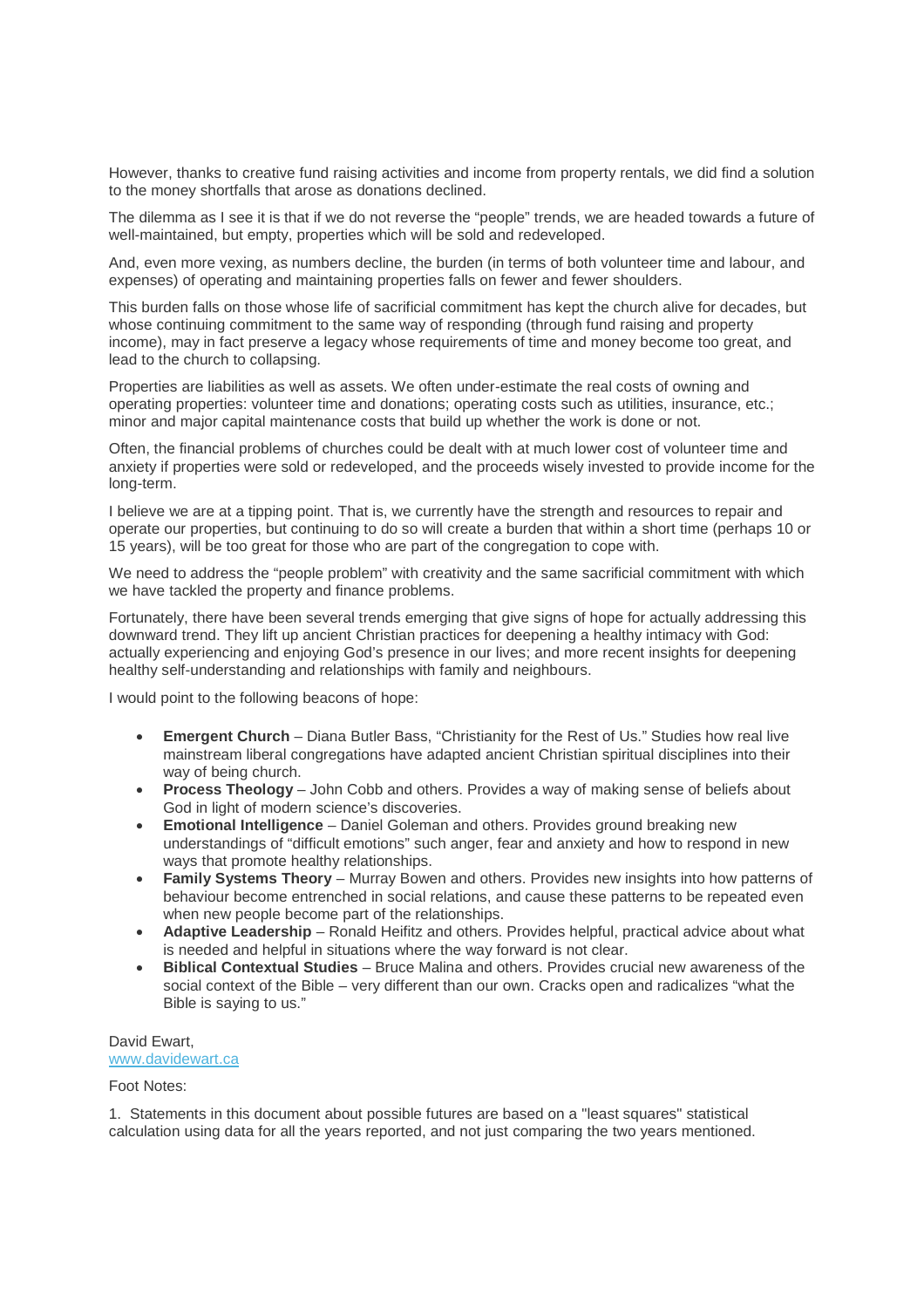However, thanks to creative fund raising activities and income from property rentals, we did find a solution to the money shortfalls that arose as donations declined.

The dilemma as I see it is that if we do not reverse the "people" trends, we are headed towards a future of well-maintained, but empty, properties which will be sold and redeveloped.

And, even more vexing, as numbers decline, the burden (in terms of both volunteer time and labour, and expenses) of operating and maintaining properties falls on fewer and fewer shoulders.

This burden falls on those whose life of sacrificial commitment has kept the church alive for decades, but whose continuing commitment to the same way of responding (through fund raising and property income), may in fact preserve a legacy whose requirements of time and money become too great, and lead to the church to collapsing.

Properties are liabilities as well as assets. We often under-estimate the real costs of owning and operating properties: volunteer time and donations; operating costs such as utilities, insurance, etc.; minor and major capital maintenance costs that build up whether the work is done or not.

Often, the financial problems of churches could be dealt with at much lower cost of volunteer time and anxiety if properties were sold or redeveloped, and the proceeds wisely invested to provide income for the long-term.

I believe we are at a tipping point. That is, we currently have the strength and resources to repair and operate our properties, but continuing to do so will create a burden that within a short time (perhaps 10 or 15 years), will be too great for those who are part of the congregation to cope with.

We need to address the "people problem" with creativity and the same sacrificial commitment with which we have tackled the property and finance problems.

Fortunately, there have been several trends emerging that give signs of hope for actually addressing this downward trend. They lift up ancient Christian practices for deepening a healthy intimacy with God: actually experiencing and enjoying God's presence in our lives; and more recent insights for deepening healthy self-understanding and relationships with family and neighbours.

I would point to the following beacons of hope:

- **Emergent Church** Diana Butler Bass, "Christianity for the Rest of Us." Studies how real live mainstream liberal congregations have adapted ancient Christian spiritual disciplines into their way of being church.
- **Process Theology** John Cobb and others. Provides a way of making sense of beliefs about God in light of modern science's discoveries.
- **Emotional Intelligence** Daniel Goleman and others. Provides ground breaking new understandings of "difficult emotions" such anger, fear and anxiety and how to respond in new ways that promote healthy relationships.
- **Family Systems Theory** Murray Bowen and others. Provides new insights into how patterns of behaviour become entrenched in social relations, and cause these patterns to be repeated even when new people become part of the relationships.
- **Adaptive Leadership** Ronald Heifitz and others. Provides helpful, practical advice about what is needed and helpful in situations where the way forward is not clear.
- **Biblical Contextual Studies** Bruce Malina and others. Provides crucial new awareness of the social context of the Bible – very different than our own. Cracks open and radicalizes "what the Bible is saying to us."

David Ewart, www.davidewart.ca

## Foot Notes:

1. Statements in this document about possible futures are based on a "least squares" statistical calculation using data for all the years reported, and not just comparing the two years mentioned.